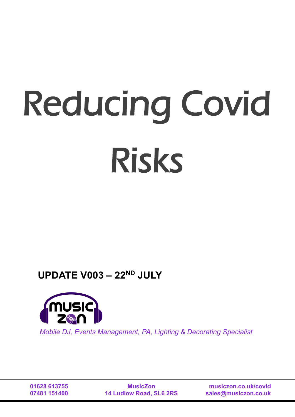# Reducing Covid Risks

# **UPDATE V003 – 22ND JULY**



*Mobile DJ, Events Management, PA, Lighting & Decorating Specialist*

**01628 613755 07481 151400**

**MusicZon 14 Ludlow Road, SL6 2RS**

**musiczon.co.uk/covid sales@musiczon.co.uk**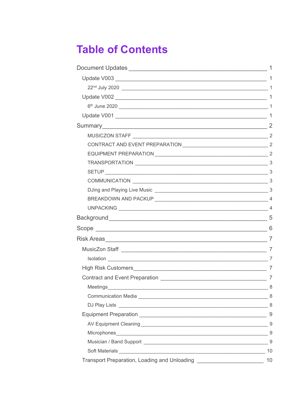# **Table of Contents**

|                                                                                                                                                                                                                                      | $\mathbf{1}$ |
|--------------------------------------------------------------------------------------------------------------------------------------------------------------------------------------------------------------------------------------|--------------|
|                                                                                                                                                                                                                                      |              |
|                                                                                                                                                                                                                                      |              |
|                                                                                                                                                                                                                                      |              |
|                                                                                                                                                                                                                                      |              |
|                                                                                                                                                                                                                                      |              |
|                                                                                                                                                                                                                                      |              |
|                                                                                                                                                                                                                                      |              |
|                                                                                                                                                                                                                                      |              |
|                                                                                                                                                                                                                                      |              |
|                                                                                                                                                                                                                                      |              |
|                                                                                                                                                                                                                                      |              |
|                                                                                                                                                                                                                                      |              |
|                                                                                                                                                                                                                                      |              |
|                                                                                                                                                                                                                                      |              |
|                                                                                                                                                                                                                                      |              |
|                                                                                                                                                                                                                                      |              |
|                                                                                                                                                                                                                                      |              |
|                                                                                                                                                                                                                                      |              |
|                                                                                                                                                                                                                                      |              |
|                                                                                                                                                                                                                                      |              |
|                                                                                                                                                                                                                                      |              |
|                                                                                                                                                                                                                                      |              |
| Meetings<br>8                                                                                                                                                                                                                        |              |
|                                                                                                                                                                                                                                      |              |
|                                                                                                                                                                                                                                      |              |
|                                                                                                                                                                                                                                      | 9            |
|                                                                                                                                                                                                                                      |              |
|                                                                                                                                                                                                                                      | 9            |
| Musician / Band Support 2008 2009 2010 2020 2020 2021 2022 2022 2023 2024 2022 2022 2023 2024 2022 20                                                                                                                                |              |
| Soft Materials <b>Contract Contract Contract Contract Contract Contract Contract Contract Contract Contract Contract Contract Contract Contract Contract Contract Contract Contract Contract Contract Contract Contract Contract</b> | 10           |
| Transport Preparation, Loading and Unloading ___________________________________                                                                                                                                                     | 10           |
|                                                                                                                                                                                                                                      |              |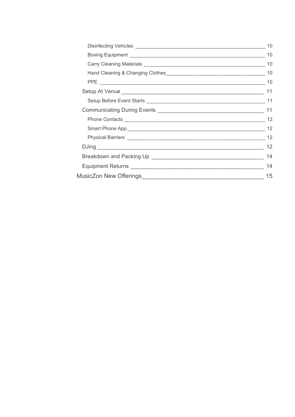| 10 |
|----|
|    |
| 10 |
|    |
|    |
|    |
|    |
|    |
| 12 |
|    |
| 12 |
|    |
| 14 |
| 14 |
| 15 |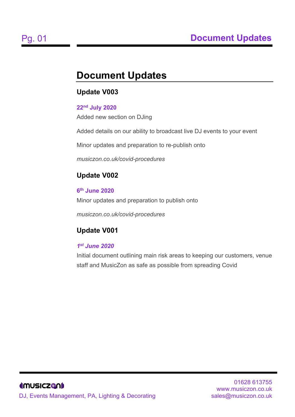# <span id="page-3-0"></span>**Document Updates**

# <span id="page-3-1"></span>**Update V003**

## <span id="page-3-2"></span>**22nd July 2020**

Added new section on DJing

Added details on our ability to broadcast live DJ events to your event

Minor updates and preparation to re-publish onto

*musiczon.co.uk/covid-procedures*

# <span id="page-3-3"></span>**Update V002**

<span id="page-3-4"></span>**6th June 2020**

Minor updates and preparation to publish onto

*musiczon.co.uk/covid-procedures*

# <span id="page-3-5"></span>**Update V001**

# *1st June 2020*

Initial document outlining main risk areas to keeping our customers, venue staff and MusicZon as safe as possible from spreading Covid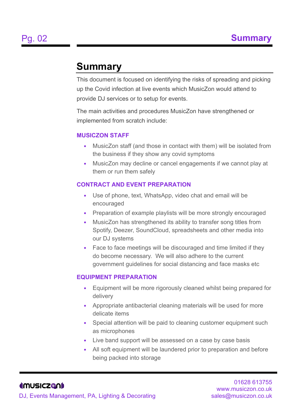# <span id="page-4-0"></span>**Summary**

This document is focused on identifying the risks of spreading and picking up the Covid infection at live events which MusicZon would attend to provide DJ services or to setup for events.

The main activities and procedures MusicZon have strengthened or implemented from scratch include:

#### <span id="page-4-1"></span>**MUSICZON STAFF**

- MusicZon staff (and those in contact with them) will be isolated from the business if they show any covid symptoms
- MusicZon may decline or cancel engagements if we cannot play at them or run them safely

#### <span id="page-4-2"></span>**CONTRACT AND EVENT PREPARATION**

- Use of phone, text, WhatsApp, video chat and email will be encouraged
- Preparation of example playlists will be more strongly encouraged
- MusicZon has strengthened its ability to transfer song titles from Spotify, Deezer, SoundCloud, spreadsheets and other media into our DJ systems
- Face to face meetings will be discouraged and time limited if they do become necessary. We will also adhere to the current government guidelines for social distancing and face masks etc

#### <span id="page-4-3"></span>**EQUIPMENT PREPARATION**

- Equipment will be more rigorously cleaned whilst being prepared for delivery
- Appropriate antibacterial cleaning materials will be used for more delicate items
- Special attention will be paid to cleaning customer equipment such as microphones
- Live band support will be assessed on a case by case basis
- All soft equipment will be laundered prior to preparation and before being packed into storage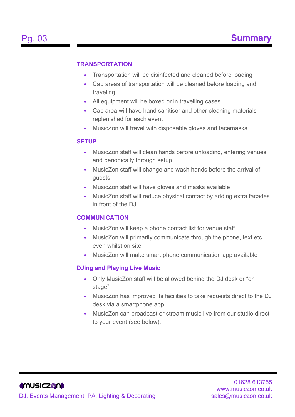#### <span id="page-5-0"></span>**TRANSPORTATION**

- Transportation will be disinfected and cleaned before loading
- Cab areas of transportation will be cleaned before loading and traveling
- All equipment will be boxed or in travelling cases
- Cab area will have hand sanitiser and other cleaning materials replenished for each event
- MusicZon will travel with disposable gloves and facemasks

#### <span id="page-5-1"></span>**SETUP**

- MusicZon staff will clean hands before unloading, entering venues and periodically through setup
- MusicZon staff will change and wash hands before the arrival of guests
- MusicZon staff will have gloves and masks available
- MusicZon staff will reduce physical contact by adding extra facades in front of the DJ

#### <span id="page-5-2"></span>**COMMUNICATION**

- MusicZon will keep a phone contact list for venue staff
- MusicZon will primarily communicate through the phone, text etc even whilst on site
- MusicZon will make smart phone communication app available

#### <span id="page-5-3"></span>**DJing and Playing Live Music**

- Only MusicZon staff will be allowed behind the DJ desk or "on stage"
- MusicZon has improved its facilities to take requests direct to the DJ desk via a smartphone app
- MusicZon can broadcast or stream music live from our studio direct to your event (see below).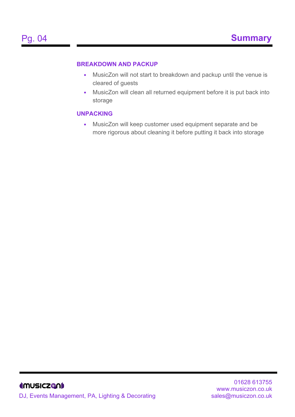#### <span id="page-6-0"></span>**BREAKDOWN AND PACKUP**

- MusicZon will not start to breakdown and packup until the venue is cleared of guests
- MusicZon will clean all returned equipment before it is put back into storage

#### <span id="page-6-1"></span>**UNPACKING**

• MusicZon will keep customer used equipment separate and be more rigorous about cleaning it before putting it back into storage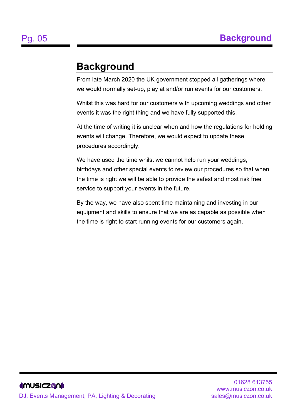# <span id="page-7-0"></span>**Background**

From late March 2020 the UK government stopped all gatherings where we would normally set-up, play at and/or run events for our customers.

Whilst this was hard for our customers with upcoming weddings and other events it was the right thing and we have fully supported this.

At the time of writing it is unclear when and how the regulations for holding events will change. Therefore, we would expect to update these procedures accordingly.

We have used the time whilst we cannot help run your weddings, birthdays and other special events to review our procedures so that when the time is right we will be able to provide the safest and most risk free service to support your events in the future.

By the way, we have also spent time maintaining and investing in our equipment and skills to ensure that we are as capable as possible when the time is right to start running events for our customers again.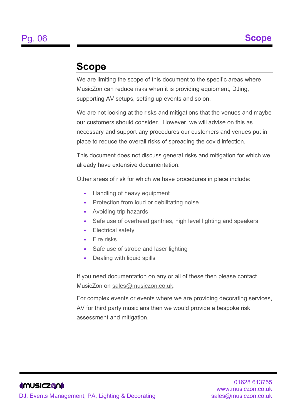# <span id="page-8-0"></span>**Scope**

We are limiting the scope of this document to the specific areas where MusicZon can reduce risks when it is providing equipment, DJing, supporting AV setups, setting up events and so on.

We are not looking at the risks and mitigations that the venues and maybe our customers should consider. However, we will advise on this as necessary and support any procedures our customers and venues put in place to reduce the overall risks of spreading the covid infection.

This document does not discuss general risks and mitigation for which we already have extensive documentation.

Other areas of risk for which we have procedures in place include:

- Handling of heavy equipment
- Protection from loud or debilitating noise
- Avoiding trip hazards
- Safe use of overhead gantries, high level lighting and speakers
- Electrical safety
- Fire risks
- Safe use of strobe and laser lighting
- Dealing with liquid spills

If you need documentation on any or all of these then please contact MusicZon on [sales@musiczon.co.uk.](mailto:sales@musiczon.co.uk)

For complex events or events where we are providing decorating services, AV for third party musicians then we would provide a bespoke risk assessment and mitigation.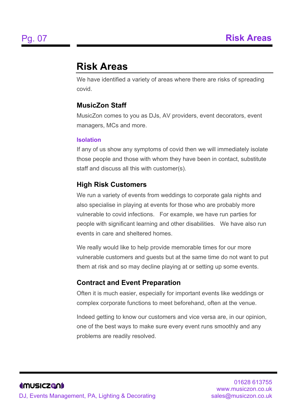# <span id="page-9-0"></span>**Risk Areas**

We have identified a variety of areas where there are risks of spreading covid.

## <span id="page-9-1"></span>**MusicZon Staff**

MusicZon comes to you as DJs, AV providers, event decorators, event managers, MCs and more.

#### <span id="page-9-2"></span>**Isolation**

If any of us show any symptoms of covid then we will immediately isolate those people and those with whom they have been in contact, substitute staff and discuss all this with customer(s).

## <span id="page-9-3"></span>**High Risk Customers**

We run a variety of events from weddings to corporate gala nights and also specialise in playing at events for those who are probably more vulnerable to covid infections. For example, we have run parties for people with significant learning and other disabilities. We have also run events in care and sheltered homes.

We really would like to help provide memorable times for our more vulnerable customers and guests but at the same time do not want to put them at risk and so may decline playing at or setting up some events.

## <span id="page-9-4"></span>**Contract and Event Preparation**

Often it is much easier, especially for important events like weddings or complex corporate functions to meet beforehand, often at the venue.

Indeed getting to know our customers and vice versa are, in our opinion, one of the best ways to make sure every event runs smoothly and any problems are readily resolved.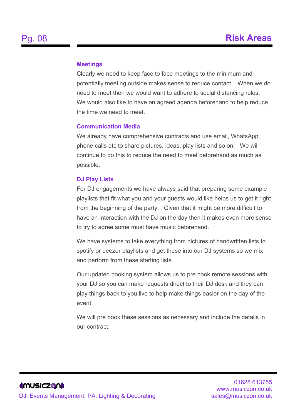#### <span id="page-10-0"></span>**Meetings**

Clearly we need to keep face to face meetings to the minimum and potentially meeting outside makes sense to reduce contact. When we do need to meet then we would want to adhere to social distancing rules. We would also like to have an agreed agenda beforehand to help reduce the time we need to meet.

#### <span id="page-10-1"></span>**Communication Media**

We already have comprehensive contracts and use email, WhatsApp, phone calls etc to share pictures, ideas, play lists and so on. We will continue to do this to reduce the need to meet beforehand as much as possible.

#### <span id="page-10-2"></span>**DJ Play Lists**

For DJ engagements we have always said that preparing some example playlists that fit what you and your guests would like helps us to get it right from the beginning of the party. Given that it might be more difficult to have an interaction with the DJ on the day then it makes even more sense to try to agree some must have music beforehand.

We have systems to take everything from pictures of handwritten lists to spotify or deezer playlists and get these into our DJ systems so we mix and perform from these starting lists.

Our updated booking system allows us to pre book remote sessions with your DJ so you can make requests direct to their DJ desk and they can play things back to you live to help make things easier on the day of the event.

We will pre book these sessions as necessary and include the details in our contract.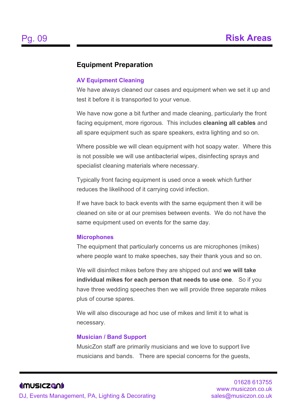## <span id="page-11-0"></span>**Equipment Preparation**

#### <span id="page-11-1"></span>**AV Equipment Cleaning**

We have always cleaned our cases and equipment when we set it up and test it before it is transported to your venue.

We have now gone a bit further and made cleaning, particularly the front facing equipment, more rigorous. This includes **cleaning all cables** and all spare equipment such as spare speakers, extra lighting and so on.

Where possible we will clean equipment with hot soapy water. Where this is not possible we will use antibacterial wipes, disinfecting sprays and specialist cleaning materials where necessary.

Typically front facing equipment is used once a week which further reduces the likelihood of it carrying covid infection.

If we have back to back events with the same equipment then it will be cleaned on site or at our premises between events. We do not have the same equipment used on events for the same day.

#### <span id="page-11-2"></span>**Microphones**

The equipment that particularly concerns us are microphones (mikes) where people want to make speeches, say their thank yous and so on.

We will disinfect mikes before they are shipped out and **we will take individual mikes for each person that needs to use one**. So if you have three wedding speeches then we will provide three separate mikes plus of course spares.

We will also discourage ad hoc use of mikes and limit it to what is necessary.

#### <span id="page-11-3"></span>**Musician / Band Support**

MusicZon staff are primarily musicians and we love to support live musicians and bands. There are special concerns for the guests,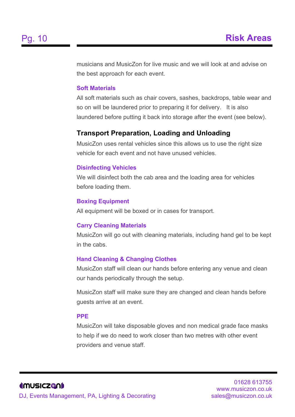musicians and MusicZon for live music and we will look at and advise on the best approach for each event.

#### <span id="page-12-0"></span>**Soft Materials**

All soft materials such as chair covers, sashes, backdrops, table wear and so on will be laundered prior to preparing it for delivery. It is also laundered before putting it back into storage after the event (see below).

### <span id="page-12-1"></span>**Transport Preparation, Loading and Unloading**

MusicZon uses rental vehicles since this allows us to use the right size vehicle for each event and not have unused vehicles.

#### <span id="page-12-2"></span>**Disinfecting Vehicles**

We will disinfect both the cab area and the loading area for vehicles before loading them.

#### <span id="page-12-3"></span>**Boxing Equipment**

All equipment will be boxed or in cases for transport.

#### <span id="page-12-4"></span>**Carry Cleaning Materials**

MusicZon will go out with cleaning materials, including hand gel to be kept in the cabs.

#### <span id="page-12-5"></span>**Hand Cleaning & Changing Clothes**

MusicZon staff will clean our hands before entering any venue and clean our hands periodically through the setup.

MusicZon staff will make sure they are changed and clean hands before guests arrive at an event.

#### <span id="page-12-6"></span>**PPE**

MusicZon will take disposable gloves and non medical grade face masks to help if we do need to work closer than two metres with other event providers and venue staff.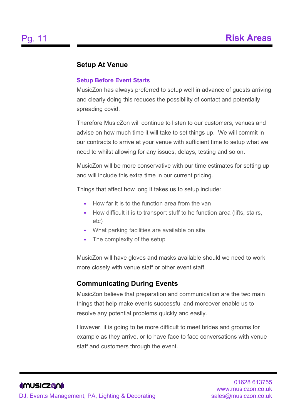## <span id="page-13-0"></span>**Setup At Venue**

#### <span id="page-13-1"></span>**Setup Before Event Starts**

MusicZon has always preferred to setup well in advance of guests arriving and clearly doing this reduces the possibility of contact and potentially spreading covid.

Therefore MusicZon will continue to listen to our customers, venues and advise on how much time it will take to set things up. We will commit in our contracts to arrive at your venue with sufficient time to setup what we need to whilst allowing for any issues, delays, testing and so on.

MusicZon will be more conservative with our time estimates for setting up and will include this extra time in our current pricing.

Things that affect how long it takes us to setup include:

- How far it is to the function area from the van
- How difficult it is to transport stuff to he function area (lifts, stairs, etc)
- What parking facilities are available on site
- The complexity of the setup

MusicZon will have gloves and masks available should we need to work more closely with venue staff or other event staff.

## <span id="page-13-2"></span>**Communicating During Events**

MusicZon believe that preparation and communication are the two main things that help make events successful and moreover enable us to resolve any potential problems quickly and easily.

However, it is going to be more difficult to meet brides and grooms for example as they arrive, or to have face to face conversations with venue staff and customers through the event.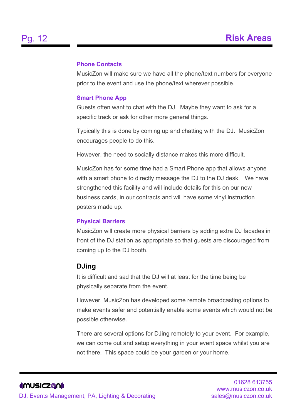#### <span id="page-14-0"></span>**Phone Contacts**

MusicZon will make sure we have all the phone/text numbers for everyone prior to the event and use the phone/text wherever possible.

#### <span id="page-14-1"></span>**Smart Phone App**

Guests often want to chat with the DJ. Maybe they want to ask for a specific track or ask for other more general things.

Typically this is done by coming up and chatting with the DJ. MusicZon encourages people to do this.

However, the need to socially distance makes this more difficult.

MusicZon has for some time had a Smart Phone app that allows anyone with a smart phone to directly message the DJ to the DJ desk. We have strengthened this facility and will include details for this on our new business cards, in our contracts and will have some vinyl instruction posters made up.

#### <span id="page-14-2"></span>**Physical Barriers**

MusicZon will create more physical barriers by adding extra DJ facades in front of the DJ station as appropriate so that guests are discouraged from coming up to the DJ booth.

#### <span id="page-14-3"></span>**DJing**

It is difficult and sad that the DJ will at least for the time being be physically separate from the event.

However, MusicZon has developed some remote broadcasting options to make events safer and potentially enable some events which would not be possible otherwise.

There are several options for DJing remotely to your event. For example, we can come out and setup everything in your event space whilst you are not there. This space could be your garden or your home.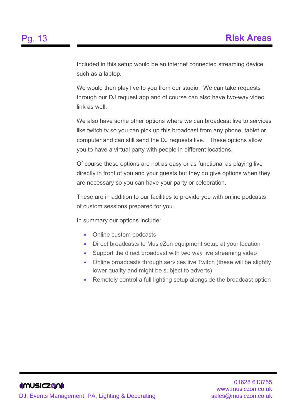Included in this setup would be an internet connected streaming device such as a laptop.

We would then play live to you from our studio. We can take requests through our DJ request app and of course can also have two-way video link as well.

We also have some other options where we can broadcast live to services like twitch.tv so you can pick up this broadcast from any phone, tablet or computer and can still send the DJ requests live. These options allow you to have a virtual party with people in different locations.

Of course these options are not as easy or as functional as playing live directly in front of you and your guests but they do give options when they are necessary so you can have your party or celebration.

These are in addition to our facilities to provide you with online podcasts of custom sessions prepared for you.

In summary our options include:

- Online custom podcasts
- Direct broadcasts to MusicZon equipment setup at your location
- Support the direct broadcast with two way live streaming video
- Online broadcasts through services live Twitch (these will be slightly lower quality and might be subject to adverts)
- Remotely control a full lighting setup alongside the broadcast option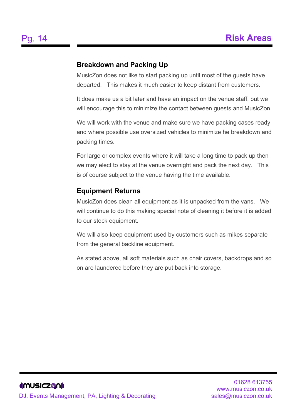## <span id="page-16-0"></span>**Breakdown and Packing Up**

MusicZon does not like to start packing up until most of the guests have departed. This makes it much easier to keep distant from customers.

It does make us a bit later and have an impact on the venue staff, but we will encourage this to minimize the contact between guests and MusicZon.

We will work with the venue and make sure we have packing cases ready and where possible use oversized vehicles to minimize he breakdown and packing times.

For large or complex events where it will take a long time to pack up then we may elect to stay at the venue overnight and pack the next day. This is of course subject to the venue having the time available.

## <span id="page-16-1"></span>**Equipment Returns**

MusicZon does clean all equipment as it is unpacked from the vans. We will continue to do this making special note of cleaning it before it is added to our stock equipment.

We will also keep equipment used by customers such as mikes separate from the general backline equipment.

As stated above, all soft materials such as chair covers, backdrops and so on are laundered before they are put back into storage.